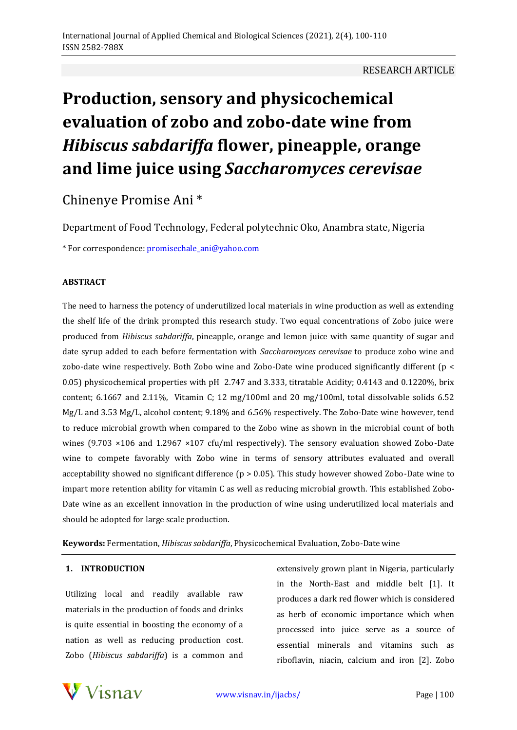# RESEARCH ARTICLE

# **Production, sensory and physicochemical evaluation of zobo and zobo-date wine from**  *Hibiscus sabdariffa* **flower, pineapple, orange and lime juice using** *Saccharomyces cerevisae*

Chinenye Promise Ani \*

Department of Food Technology, Federal polytechnic Oko, Anambra state, Nigeria

\* For correspondence[: promisechale\\_ani@yahoo.com](mailto:promisechale_ani@yahoo.com)

#### **ABSTRACT**

The need to harness the potency of underutilized local materials in wine production as well as extending the shelf life of the drink prompted this research study. Two equal concentrations of Zobo juice were produced from *Hibiscus sabdariffa*, pineapple, orange and lemon juice with same quantity of sugar and date syrup added to each before fermentation with *Saccharomyces cerevisae* to produce zobo wine and zobo-date wine respectively. Both Zobo wine and Zobo-Date wine produced significantly different (p < 0.05) physicochemical properties with pH 2.747 and 3.333, titratable Acidity; 0.4143 and 0.1220%, brix content; 6.1667 and 2.11%, Vitamin C; 12 mg/100ml and 20 mg/100ml, total dissolvable solids 6.52 Mg/L and 3.53 Mg/L, alcohol content; 9.18% and 6.56% respectively. The Zobo-Date wine however, tend to reduce microbial growth when compared to the Zobo wine as shown in the microbial count of both wines (9.703 ×106 and 1.2967 ×107 cfu/ml respectively). The sensory evaluation showed Zobo-Date wine to compete favorably with Zobo wine in terms of sensory attributes evaluated and overall acceptability showed no significant difference ( $p > 0.05$ ). This study however showed Zobo-Date wine to impart more retention ability for vitamin C as well as reducing microbial growth. This established Zobo-Date wine as an excellent innovation in the production of wine using underutilized local materials and should be adopted for large scale production.

**Keywords:** Fermentation, *Hibiscus sabdariffa*, Physicochemical Evaluation, Zobo-Date wine

#### **1. INTRODUCTION**

Utilizing local and readily available raw materials in the production of foods and drinks is quite essential in boosting the economy of a nation as well as reducing production cost. Zobo (*Hibiscus sabdariffa*) is a common and

extensively grown plant in Nigeria, particularly in the North-East and middle belt [1]. It produces a dark red flower which is considered as herb of economic importance which when processed into juice serve as a source of essential minerals and vitamins such as riboflavin, niacin, calcium and iron [2]. Zobo

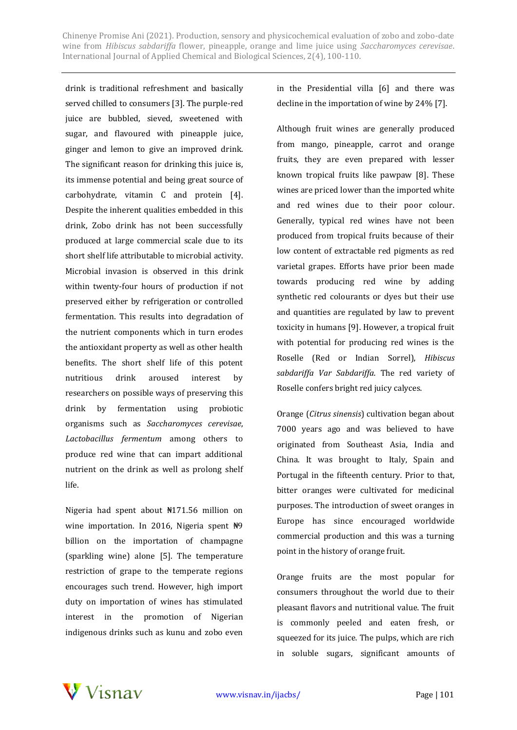drink is traditional refreshment and basically served chilled to consumers [3]. The purple-red juice are bubbled, sieved, sweetened with sugar, and flavoured with pineapple juice, ginger and lemon to give an improved drink. The significant reason for drinking this juice is, its immense potential and being great source of carbohydrate, vitamin C and protein [4]. Despite the inherent qualities embedded in this drink, Zobo drink has not been successfully produced at large commercial scale due to its short shelf life attributable to microbial activity. Microbial invasion is observed in this drink within twenty-four hours of production if not preserved either by refrigeration or controlled fermentation. This results into degradation of the nutrient components which in turn erodes the antioxidant property as well as other health benefits. The short shelf life of this potent nutritious drink aroused interest by researchers on possible ways of preserving this drink by fermentation using probiotic organisms such as *Saccharomyces cerevisae*, *Lactobacillus fermentum* among others to produce red wine that can impart additional nutrient on the drink as well as prolong shelf life.

Nigeria had spent about ₦171.56 million on wine importation. In 2016, Nigeria spent  $\frac{100}{100}$ billion on the importation of champagne (sparkling wine) alone [5]. The temperature restriction of grape to the temperate regions encourages such trend. However, high import duty on importation of wines has stimulated interest in the promotion of Nigerian indigenous drinks such as kunu and zobo even in the Presidential villa [6] and there was decline in the importation of wine by 24% [7].

Although fruit wines are generally produced from mango, pineapple, carrot and orange fruits, they are even prepared with lesser known tropical fruits like pawpaw [8]. These wines are priced lower than the imported white and red wines due to their poor colour. Generally, typical red wines have not been produced from tropical fruits because of their low content of extractable red pigments as red varietal grapes. Efforts have prior been made towards producing red wine by adding synthetic red colourants or dyes but their use and quantities are regulated by law to prevent toxicity in humans [9]. However, a tropical fruit with potential for producing red wines is the Roselle (Red or Indian Sorrel), *Hibiscus sabdariffa Var Sabdariffa*. The red variety of Roselle confers bright red juicy calyces.

Orange (*Citrus sinensis*) cultivation began about 7000 years ago and was believed to have originated from Southeast Asia, India and China. It was brought to Italy, Spain and Portugal in the fifteenth century. Prior to that, bitter oranges were cultivated for medicinal purposes. The introduction of sweet oranges in Europe has since encouraged worldwide commercial production and this was a turning point in the history of orange fruit.

Orange fruits are the most popular for consumers throughout the world due to their pleasant flavors and nutritional value. The fruit is commonly peeled and eaten fresh, or squeezed for its juice. The pulps, which are rich in soluble sugars, significant amounts of

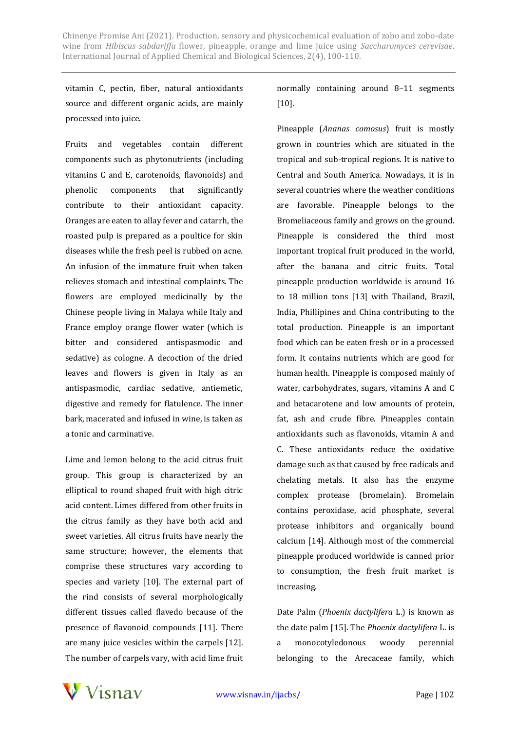vitamin C, pectin, fiber, natural antioxidants source and different organic acids, are mainly processed into juice.

Fruits and vegetables contain different components such as phytonutrients (including vitamins C and E, carotenoids, flavonoids) and phenolic components that significantly contribute to their antioxidant capacity. Oranges are eaten to allay fever and catarrh, the roasted pulp is prepared as a poultice for skin diseases while the fresh peel is rubbed on acne. An infusion of the immature fruit when taken relieves stomach and intestinal complaints. The flowers are employed medicinally by the Chinese people living in Malaya while Italy and France employ orange flower water (which is bitter and considered antispasmodic and sedative) as cologne. A decoction of the dried leaves and flowers is given in Italy as an antispasmodic, cardiac sedative, antiemetic, digestive and remedy for flatulence. The inner bark, macerated and infused in wine, is taken as a tonic and carminative.

Lime and lemon belong to the acid citrus fruit group. This group is characterized by an elliptical to round shaped fruit with high citric acid content. Limes differed from other fruits in the citrus family as they have both acid and sweet varieties. All citrus fruits have nearly the same structure; however, the elements that comprise these structures vary according to species and variety [10]. The external part of the rind consists of several morphologically different tissues called flavedo because of the presence of flavonoid compounds [11]. There are many juice vesicles within the carpels [12]. The number of carpels vary, with acid lime fruit

# normally containing around 8–11 segments [10].

Pineapple (*Ananas comosus*) fruit is mostly grown in countries which are situated in the tropical and sub-tropical regions. It is native to Central and South America. Nowadays, it is in several countries where the weather conditions are favorable. Pineapple belongs to the Bromeliaceous family and grows on the ground. Pineapple is considered the third most important tropical fruit produced in the world, after the banana and citric fruits. Total pineapple production worldwide is around 16 to 18 million tons [13] with Thailand, Brazil, India, Phillipines and China contributing to the total production. Pineapple is an important food which can be eaten fresh or in a processed form. It contains nutrients which are good for human health. Pineapple is composed mainly of water, carbohydrates, sugars, vitamins A and C and betacarotene and low amounts of protein, fat, ash and crude fibre. Pineapples contain antioxidants such as flavonoids, vitamin A and C. These antioxidants reduce the oxidative damage such as that caused by free radicals and chelating metals. It also has the enzyme complex protease (bromelain). Bromelain contains peroxidase, acid phosphate, several protease inhibitors and organically bound calcium [14]. Although most of the commercial pineapple produced worldwide is canned prior to consumption, the fresh fruit market is increasing.

Date Palm (*Phoenix dactylifera* L.) is known as the date palm [15]. The *Phoenix dactylifera* L. is a monocotyledonous woody perennial belonging to the Arecaceae family, which

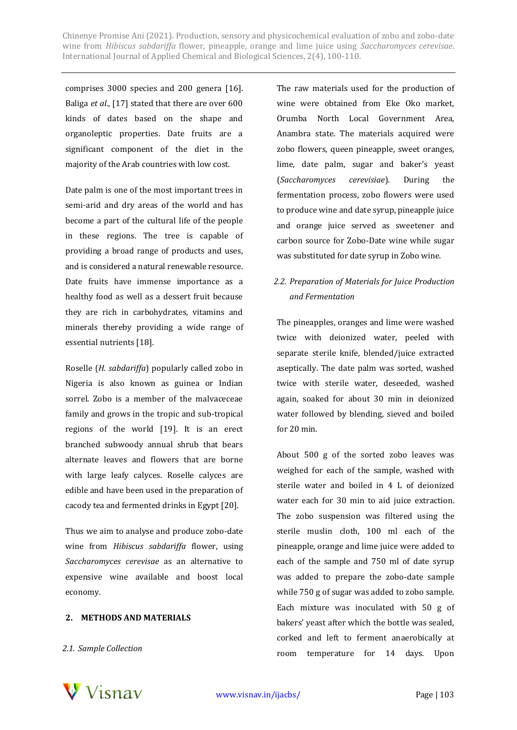comprises 3000 species and 200 genera [16]. Baliga *et al*., [17] stated that there are over 600 kinds of dates based on the shape and organoleptic properties. Date fruits are a significant component of the diet in the majority of the Arab countries with low cost.

Date palm is one of the most important trees in semi-arid and dry areas of the world and has become a part of the cultural life of the people in these regions. The tree is capable of providing a broad range of products and uses, and is considered a natural renewable resource. Date fruits have immense importance as a healthy food as well as a dessert fruit because they are rich in carbohydrates, vitamins and minerals thereby providing a wide range of essential nutrients [18].

Roselle (*H. sabdariffa*) popularly called zobo in Nigeria is also known as guinea or Indian sorrel. Zobo is a member of the malvaceceae family and grows in the tropic and sub-tropical regions of the world [19]. It is an erect branched subwoody annual shrub that bears alternate leaves and flowers that are borne with large leafy calyces. Roselle calyces are edible and have been used in the preparation of cacody tea and fermented drinks in Egypt [20].

Thus we aim to analyse and produce zobo-date wine from *Hibiscus sabdariffa* flower, using *Saccharomyces cerevisae* as an alternative to expensive wine available and boost local economy.

#### **2. METHODS AND MATERIALS**

*2.1. Sample Collection*

The raw materials used for the production of wine were obtained from Eke Oko market, Orumba North Local Government Area, Anambra state. The materials acquired were zobo flowers, queen pineapple, sweet oranges, lime, date palm, sugar and baker's yeast (*Saccharomyces cerevisiae*). During the fermentation process, zobo flowers were used to produce wine and date syrup, pineapple juice and orange juice served as sweetener and carbon source for Zobo-Date wine while sugar was substituted for date syrup in Zobo wine.

# *2.2. Preparation of Materials for Juice Production and Fermentation*

The pineapples, oranges and lime were washed twice with deionized water, peeled with separate sterile knife, blended/juice extracted aseptically. The date palm was sorted, washed twice with sterile water, deseeded, washed again, soaked for about 30 min in deionized water followed by blending, sieved and boiled for 20 min.

About 500 g of the sorted zobo leaves was weighed for each of the sample, washed with sterile water and boiled in 4 L of deionized water each for 30 min to aid juice extraction. The zobo suspension was filtered using the sterile muslin cloth, 100 ml each of the pineapple, orange and lime juice were added to each of the sample and 750 ml of date syrup was added to prepare the zobo-date sample while 750 g of sugar was added to zobo sample. Each mixture was inoculated with 50 g of bakers' yeast after which the bottle was sealed, corked and left to ferment anaerobically at room temperature for 14 days. Upon

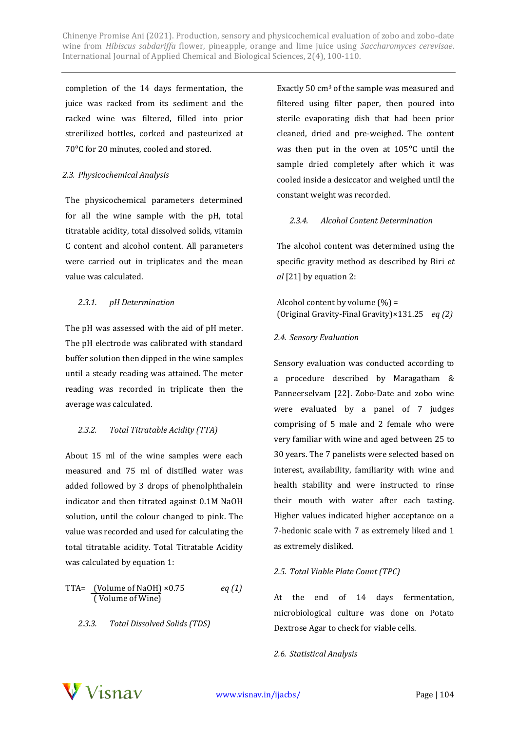completion of the 14 days fermentation, the juice was racked from its sediment and the racked wine was filtered, filled into prior strerilized bottles, corked and pasteurized at 70°C for 20 minutes, cooled and stored.

#### *2.3. Physicochemical Analysis*

The physicochemical parameters determined for all the wine sample with the pH, total titratable acidity, total dissolved solids, vitamin C content and alcohol content. All parameters were carried out in triplicates and the mean value was calculated.

# *2.3.1. pH Determination*

The pH was assessed with the aid of pH meter. The pH electrode was calibrated with standard buffer solution then dipped in the wine samples until a steady reading was attained. The meter reading was recorded in triplicate then the average was calculated.

# *2.3.2. Total Titratable Acidity (TTA)*

About 15 ml of the wine samples were each measured and 75 ml of distilled water was added followed by 3 drops of phenolphthalein indicator and then titrated against 0.1M NaOH solution, until the colour changed to pink. The value was recorded and used for calculating the total titratable acidity. Total Titratable Acidity was calculated by equation 1:

TTA= 
$$
\frac{\text{(Volume of NaOH)}}{\text{(Volume of Wine)}} \times 0.75
$$
 *eq (1)*

# *2.3.3. Total Dissolved Solids (TDS)*

Exactly 50 cm<sup>3</sup> of the sample was measured and filtered using filter paper, then poured into sterile evaporating dish that had been prior cleaned, dried and pre-weighed. The content was then put in the oven at  $105^{\circ}$ C until the sample dried completely after which it was cooled inside a desiccator and weighed until the constant weight was recorded.

# *2.3.4. Alcohol Content Determination*

The alcohol content was determined using the specific gravity method as described by Biri *et al* [21] by equation 2:

Alcohol content by volume  $(\%)$  = (Original Gravity-Final Gravity)×131.25 *eq (2)*

#### *2.4. Sensory Evaluation*

Sensory evaluation was conducted according to a procedure described by Maragatham & Panneerselvam [22]. Zobo-Date and zobo wine were evaluated by a panel of 7 judges comprising of 5 male and 2 female who were very familiar with wine and aged between 25 to 30 years. The 7 panelists were selected based on interest, availability, familiarity with wine and health stability and were instructed to rinse their mouth with water after each tasting. Higher values indicated higher acceptance on a 7-hedonic scale with 7 as extremely liked and 1 as extremely disliked.

# *2.5. Total Viable Plate Count (TPC)*

At the end of 14 days fermentation, microbiological culture was done on Potato Dextrose Agar to check for viable cells.

# *2.6. Statistical Analysis*

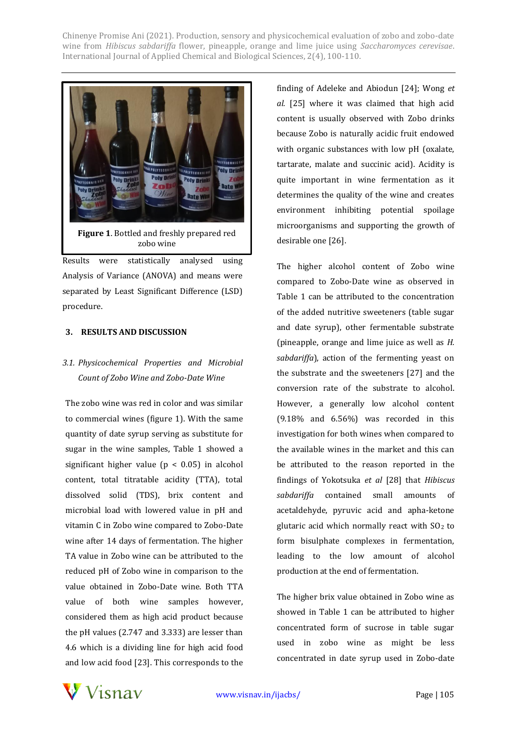

Results were statistically analysed using Analysis of Variance (ANOVA) and means were separated by Least Significant Difference (LSD) procedure.

#### **3. RESULTS AND DISCUSSION**

# *3.1. Physicochemical Properties and Microbial Count of Zobo Wine and Zobo-Date Wine*

The zobo wine was red in color and was similar to commercial wines (figure 1). With the same quantity of date syrup serving as substitute for sugar in the wine samples, Table 1 showed a significant higher value ( $p < 0.05$ ) in alcohol content, total titratable acidity (TTA), total dissolved solid (TDS), brix content and microbial load with lowered value in pH and vitamin C in Zobo wine compared to Zobo-Date wine after 14 days of fermentation. The higher TA value in Zobo wine can be attributed to the reduced pH of Zobo wine in comparison to the value obtained in Zobo-Date wine. Both TTA value of both wine samples however, considered them as high acid product because the pH values (2.747 and 3.333) are lesser than 4.6 which is a dividing line for high acid food and low acid food [23]. This corresponds to the finding of Adeleke and Abiodun [24]; Wong *et al.* [25] where it was claimed that high acid content is usually observed with Zobo drinks because Zobo is naturally acidic fruit endowed with organic substances with low pH (oxalate, tartarate, malate and succinic acid). Acidity is quite important in wine fermentation as it determines the quality of the wine and creates environment inhibiting potential spoilage microorganisms and supporting the growth of desirable one [26].

The higher alcohol content of Zobo wine compared to Zobo-Date wine as observed in Table 1 can be attributed to the concentration of the added nutritive sweeteners (table sugar and date syrup), other fermentable substrate (pineapple, orange and lime juice as well as *H. sabdariffa*), action of the fermenting yeast on the substrate and the sweeteners [27] and the conversion rate of the substrate to alcohol. However, a generally low alcohol content (9.18% and 6.56%) was recorded in this investigation for both wines when compared to the available wines in the market and this can be attributed to the reason reported in the findings of Yokotsuka *et al* [28] that *Hibiscus sabdariffa* contained small amounts of acetaldehyde, pyruvic acid and apha-ketone glutaric acid which normally react with SO<sup>2</sup> to form bisulphate complexes in fermentation, leading to the low amount of alcohol production at the end of fermentation.

The higher brix value obtained in Zobo wine as showed in Table 1 can be attributed to higher concentrated form of sucrose in table sugar used in zobo wine as might be less concentrated in date syrup used in Zobo-date

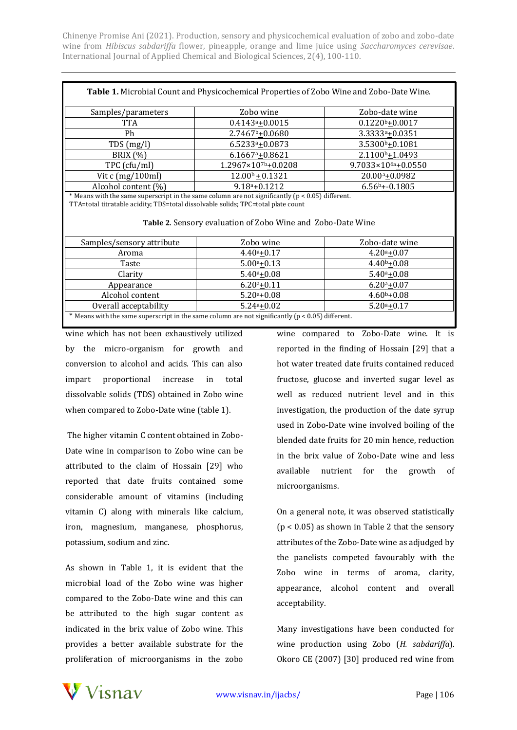| Table 1. Microbial Count and Physicochemical Properties of Zobo Wine and Zobo-Date Wine. |                                 |                                  |  |
|------------------------------------------------------------------------------------------|---------------------------------|----------------------------------|--|
| Samples/parameters                                                                       | Zobo wine                       | Zobo-date wine                   |  |
| TTA                                                                                      | $0.4143a+0.0015$                | $0.1220b+0.0017$                 |  |
| Ph                                                                                       | $2.7467b + 0.0680$              | 3.3333 <sup>a</sup> ±0.0351      |  |
| TDS(mg/l)                                                                                | $6.52334 + 0.0873$              | 3.5300 <sup>b</sup> +0.1081      |  |
| <b>BRIX</b> (%)                                                                          | $6.1667a_{+}0.8621$             | $2.1100b + 1.0493$               |  |
| TPC (cfu/ml)                                                                             | $1.2967 \times 10^{7} + 0.0208$ | $9.7033 \times 10^{6a} + 0.0550$ |  |
| Vit c (mg/100ml)                                                                         | $12.00b + 0.1321$               | $20.00a_{+}0.0982$               |  |
| Alcohol content (%)                                                                      | $9.18a + 0.1212$                | $6.56b + 0.1805$                 |  |

\* Means with the same superscript in the same column are not significantly (p < 0.05) different. TTA=total titratable acidity; TDS=total dissolvable solids; TPC=total plate count

**Table 2**. Sensory evaluation of Zobo Wine and Zobo-Date Wine

| Samples/sensory attribute                                                                              | Zobo wine       | Zobo-date wine  |  |
|--------------------------------------------------------------------------------------------------------|-----------------|-----------------|--|
| Aroma                                                                                                  | $4.40a_{+}0.17$ | $4.20a_{+}0.07$ |  |
| Taste                                                                                                  | $5.00a + 0.13$  | $4.40b+0.08$    |  |
| Clarity                                                                                                | $5.40^a + 0.08$ | $5.40^a + 0.08$ |  |
| Appearance                                                                                             | $6.20a_{+}0.11$ | $6.20a_{+}0.07$ |  |
| Alcohol content                                                                                        | $5.20a_{+}0.08$ | $4.60b + 0.08$  |  |
| Overall acceptability                                                                                  | $5.24a + 0.02$  | $5.20a + 0.17$  |  |
| $*$ Means with the same superscript in the same column are not significantly ( $p < 0.05$ ) different. |                 |                 |  |

wine which has not been exhaustively utilized by the micro-organism for growth and conversion to alcohol and acids. This can also impart proportional increase in total dissolvable solids (TDS) obtained in Zobo wine when compared to Zobo-Date wine (table 1).

The higher vitamin C content obtained in Zobo-Date wine in comparison to Zobo wine can be attributed to the claim of Hossain [29] who reported that date fruits contained some considerable amount of vitamins (including vitamin C) along with minerals like calcium, iron, magnesium, manganese, phosphorus, potassium, sodium and zinc.

As shown in Table 1, it is evident that the microbial load of the Zobo wine was higher compared to the Zobo-Date wine and this can be attributed to the high sugar content as indicated in the brix value of Zobo wine. This provides a better available substrate for the proliferation of microorganisms in the zobo

wine compared to Zobo-Date wine. It is reported in the finding of Hossain [29] that a hot water treated date fruits contained reduced fructose, glucose and inverted sugar level as well as reduced nutrient level and in this investigation, the production of the date syrup used in Zobo-Date wine involved boiling of the blended date fruits for 20 min hence, reduction in the brix value of Zobo-Date wine and less available nutrient for the growth of microorganisms.

On a general note, it was observed statistically (p < 0.05) as shown in Table 2 that the sensory attributes of the Zobo-Date wine as adjudged by the panelists competed favourably with the Zobo wine in terms of aroma, clarity, appearance, alcohol content and overall acceptability.

Many investigations have been conducted for wine production using Zobo (*H. sabdariffa*). Okoro CE (2007) [30] produced red wine from

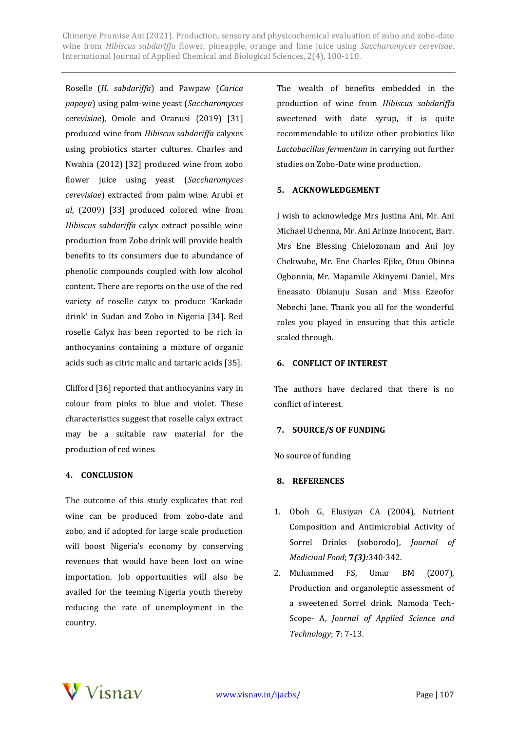Roselle (*H. sabdariffa*) and Pawpaw (*Carica papaya*) using palm-wine yeast (*Saccharomyces cerevisiae*), Omole and Oranusi (2019) [31] produced wine from *Hibiscus sabdariffa* calyxes using probiotics starter cultures. Charles and Nwahia (2012) [32] produced wine from zobo flower juice using yeast (*Saccharomyces cerevisiae*) extracted from palm wine. Arubi *et al*, (2009) [33] produced colored wine from *Hibiscus sabdariffa* calyx extract possible wine production from Zobo drink will provide health benefits to its consumers due to abundance of phenolic compounds coupled with low alcohol content. There are reports on the use of the red variety of roselle catyx to produce 'Karkade drink' in Sudan and Zobo in Nigeria [34]. Red roselle Calyx has been reported to be rich in anthocyanins containing a mixture of organic acids such as citric malic and tartaric acids [35].

Clifford [36] reported that anthocyanins vary in colour from pinks to blue and violet. These characteristics suggest that roselle calyx extract may be a suitable raw material for the production of red wines.

# **4. CONCLUSION**

The outcome of this study explicates that red wine can be produced from zobo-date and zobo, and if adopted for large scale production will boost Nigeria's economy by conserving revenues that would have been lost on wine importation. Job opportunities will also be availed for the teeming Nigeria youth thereby reducing the rate of unemployment in the country.

The wealth of benefits embedded in the production of wine from *Hibiscus sabdariffa* sweetened with date syrup, it is quite recommendable to utilize other probiotics like *Lactobacillus fermentum* in carrying out further studies on Zobo-Date wine production.

#### **5. ACKNOWLEDGEMENT**

I wish to acknowledge Mrs Justina Ani, Mr. Ani Michael Uchenna, Mr. Ani Arinze Innocent, Barr. Mrs Ene Blessing Chielozonam and Ani Joy Chekwube, Mr. Ene Charles Ejike, Otuu Obinna Ogbonnia, Mr. Mapamile Akinyemi Daniel, Mrs Eneasato Obianuju Susan and Miss Ezeofor Nebechi Jane. Thank you all for the wonderful roles you played in ensuring that this article scaled through.

#### **6. CONFLICT OF INTEREST**

The authors have declared that there is no conflict of interest.

#### **7. SOURCE/S OF FUNDING**

No source of funding

#### **8. REFERENCES**

- 1. Oboh G, Elusiyan CA (2004), Nutrient Composition and Antimicrobial Activity of Sorrel Drinks (soborodo), *Journal of Medicinal Food*; **7***(3):*340-342.
- 2. Muhammed FS, Umar BM (2007), Production and organoleptic assessment of a sweetened Sorrel drink. Namoda Tech-Scope- A, *Journal of Applied Science and Technology*; **7**: 7-13.

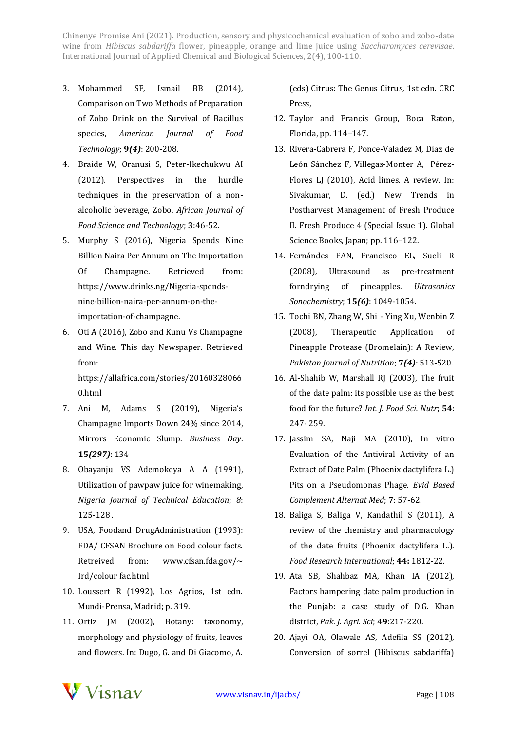- 3. Mohammed SF, Ismail BB (2014), Comparison on Two Methods of Preparation of Zobo Drink on the Survival of Bacillus species, *American Journal of Food Technology*; **9***(4)*: 200-208.
- 4. Braide W, Oranusi S, Peter-Ikechukwu AI (2012), Perspectives in the hurdle techniques in the preservation of a nonalcoholic beverage, Zobo. *African Journal of Food Science and Technology*; **3**:46-52.
- 5. Murphy S (2016), Nigeria Spends Nine Billion Naira Per Annum on The Importation Of Champagne. Retrieved from: https://www.drinks.ng/Nigeria-spendsnine-billion-naira-per-annum-on-theimportation-of-champagne.
- 6. Oti A (2016), Zobo and Kunu Vs Champagne and Wine. This day Newspaper. Retrieved from:

https://allafrica.com/stories/20160328066 0.html

- 7. Ani M, Adams S (2019), Nigeria's Champagne Imports Down 24% since 2014, Mirrors Economic Slump. *Business Day*. **15***(297)*: 134
- 8. Obayanju VS Ademokeya A A (1991), Utilization of pawpaw juice for winemaking, *Nigeria Journal of Technical Education*; *8*: 125-128 .
- 9. USA, Foodand DrugAdministration (1993): FDA/ CFSAN Brochure on Food colour facts. Retreived from: www.cfsan.fda.gov/ $\sim$ Ird/colour fac.html
- 10. Loussert R (1992), Los Agrios, 1st edn. Mundi-Prensa, Madrid; p. 319.
- 11. Ortiz JM (2002), Botany: taxonomy, morphology and physiology of fruits, leaves and flowers. In: Dugo, G. and Di Giacomo, A.

(eds) Citrus: The Genus Citrus, 1st edn. CRC Press,

- 12. Taylor and Francis Group, Boca Raton, Florida, pp. 114–147.
- 13. Rivera-Cabrera F, Ponce-Valadez M, Díaz de León Sánchez F, Villegas-Monter A, Pérez-Flores LJ (2010), Acid limes. A review. In: Sivakumar, D. (ed.) New Trends in Postharvest Management of Fresh Produce II. Fresh Produce 4 (Special Issue 1). Global Science Books, Japan; pp. 116–122.
- 14. Fernándes FAN, Francisco EL, Sueli R (2008), Ultrasound as pre-treatment forndrying of pineapples. *Ultrasonics Sonochemistry*; **15***(6)*: 1049-1054.
- 15. Tochi BN, Zhang W, Shi Ying Xu, Wenbin Z (2008), Therapeutic Application of Pineapple Protease (Bromelain): A Review, *Pakistan Journal of Nutrition*; **7***(4)*: 513-520.
- 16. Al-Shahib W, Marshall RJ (2003), The fruit of the date palm: its possible use as the best food for the future? *Int. J. Food Sci. Nutr*; **54**: 247- 259.
- 17. Jassim SA, Naji MA (2010), In vitro Evaluation of the Antiviral Activity of an Extract of Date Palm (Phoenix dactylifera L.) Pits on a Pseudomonas Phage. *Evid Based Complement Alternat Med*; **7**: 57-62.
- 18. Baliga S, Baliga V, Kandathil S (2011), A review of the chemistry and pharmacology of the date fruits (Phoenix dactylifera L.). *Food Research International*; **44:** 1812-22.
- 19. Ata SB, Shahbaz MA, Khan IA (2012), Factors hampering date palm production in the Punjab: a case study of D.G. Khan district, *Pak. J. Agri. Sci*; **49**:217-220.
- 20. Ajayi OA, Olawale AS, Adefila SS (2012), Conversion of sorrel (Hibiscus sabdariffa)

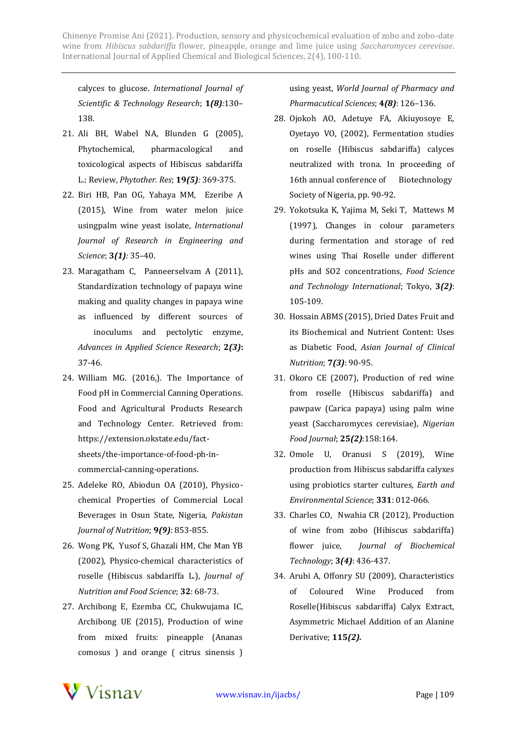calyces to glucose. *International Journal of Scientific & Technology Research*; **1***(8):*130– 138.

- 21. Ali BH, Wabel NA, Blunden G (2005), Phytochemical, pharmacological and toxicological aspects of Hibiscus sabdariffa L.: Review, *Phytother. Res*; **19***(5):* 369-375.
- 22. Biri HB, Pan OG, Yahaya MM, Ezeribe A (2015), Wine from water melon juice usingpalm wine yeast isolate, *International Journal of Research in Engineering and Science*; **3***(1):* 35–40.
- 23. Maragatham C, Panneerselvam A (2011), Standardization technology of papaya wine making and quality changes in papaya wine as influenced by different sources of inoculums and pectolytic enzyme, *Advances in Applied Science Research*; **2***(3)***:** 37-46.
- 24. William MG. (2016,). The Importance of Food pH in Commercial Canning Operations. Food and Agricultural Products Research and Technology Center. Retrieved from: https://extension.okstate.edu/factsheets/the-importance-of-food-ph-incommercial-canning-operations.
- 25. Adeleke RO, Abiodun OA (2010), Physicochemical Properties of Commercial Local Beverages in Osun State, Nigeria, *Pakistan Journal of Nutrition*; **9***(9)*: 853-855.
- 26. Wong PK, Yusof S, Ghazali HM, Che Man YB (2002), Physico-chemical characteristics of roselle (Hibiscus sabdariffa L.), *Journal of Nutrition and Food Science*; **32**: 68-73.
- 27. Archibong E, Ezemba CC, Chukwujama IC, Archibong UE (2015), Production of wine from mixed fruits: pineapple (Ananas comosus ) and orange ( citrus sinensis )

using yeast, *World Journal of Pharmacy and Pharmacutical Sciences*; **4***(8)*: 126–136.

- 28. Ojokoh AO, Adetuye FA, Akiuyosoye E, Oyetayo VO, (2002), Fermentation studies on roselle (Hibiscus sabdariffa) calyces neutralized with trona. In proceeding of 16th annual conference of Biotechnology Society of Nigeria, pp. 90-92.
- 29. Yokotsuka K, Yajima M, Seki T, Mattews M (1997), Changes in colour parameters during fermentation and storage of red wines using Thai Roselle under different pHs and SO2 concentrations, *Food Science and Technology International*; Tokyo, **3***(2)*: 105-109.
- 30. Hossain ABMS (2015), Dried Dates Fruit and its Biochemical and Nutrient Content: Uses as Diabetic Food, *Asian Journal of Clinical Nutrition*; **7***(3)*: 90-95.
- 31. Okoro CE (2007), Production of red wine from roselle (Hibiscus sabdariffa) and pawpaw (Carica papaya) using palm wine yeast (Saccharomyces cerevisiae), *Nigerian Food Journal*; **25***(2)*:158:164.
- 32. Omole U, Oranusi S (2019), Wine production from Hibiscus sabdariffa calyxes using probiotics starter cultures, *Earth and Environmental Science*; **331**: 012-066.
- 33. Charles CO, Nwahia CR (2012), Production of wine from zobo (Hibiscus sabdariffa) flower juice, *Journal of Biochemical Technology*; **3***(4)*: 436-437.
- 34. Arubi A, Offonry SU (2009), Characteristics of Coloured Wine Produced from Roselle(Hibiscus sabdariffa) Calyx Extract, Asymmetric Michael Addition of an Alanine Derivative; **115***(2).*